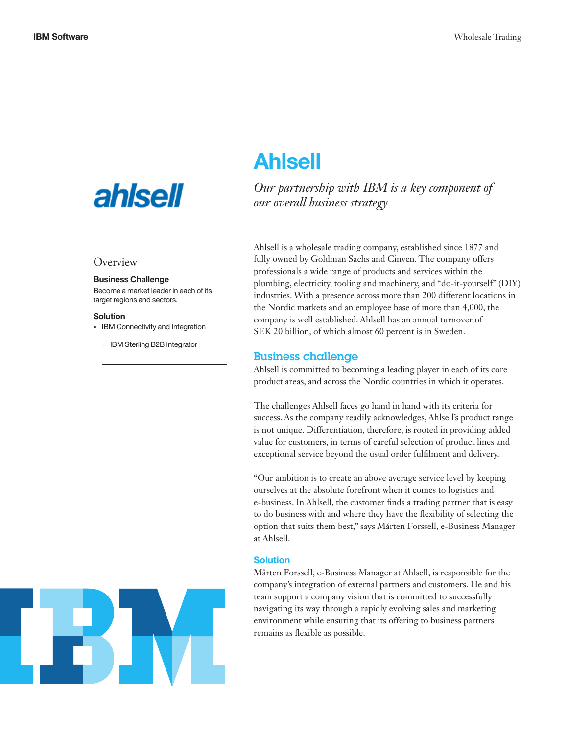# **ahlsell**

### **Overview**

#### Business Challenge

Become a market leader in each of its target regions and sectors.

#### Solution

• IBM Connectivity and Integration

– IBM Sterling B2B Integrator

# Ahlsell

*Our partnership with IBM is a key component of our overall business strategy*

Ahlsell is a wholesale trading company, established since 1877 and fully owned by Goldman Sachs and Cinven. The company offers professionals a wide range of products and services within the plumbing, electricity, tooling and machinery, and "do-it-yourself" (DIY) industries. With a presence across more than 200 different locations in the Nordic markets and an employee base of more than 4,000, the company is well established. Ahlsell has an annual turnover of SEK 20 billion, of which almost 60 percent is in Sweden.

#### Business challenge

Ahlsell is committed to becoming a leading player in each of its core product areas, and across the Nordic countries in which it operates.

The challenges Ahlsell faces go hand in hand with its criteria for success. As the company readily acknowledges, Ahlsell's product range is not unique. Differentiation, therefore, is rooted in providing added value for customers, in terms of careful selection of product lines and exceptional service beyond the usual order fulfilment and delivery.

"Our ambition is to create an above average service level by keeping ourselves at the absolute forefront when it comes to logistics and e-business. In Ahlsell, the customer finds a trading partner that is easy to do business with and where they have the flexibility of selecting the option that suits them best," says Mårten Forssell, e-Business Manager at Ahlsell.

#### Solution

Mårten Forssell, e-Business Manager at Ahlsell, is responsible for the company's integration of external partners and customers. He and his team support a company vision that is committed to successfully navigating its way through a rapidly evolving sales and marketing environment while ensuring that its offering to business partners remains as flexible as possible.

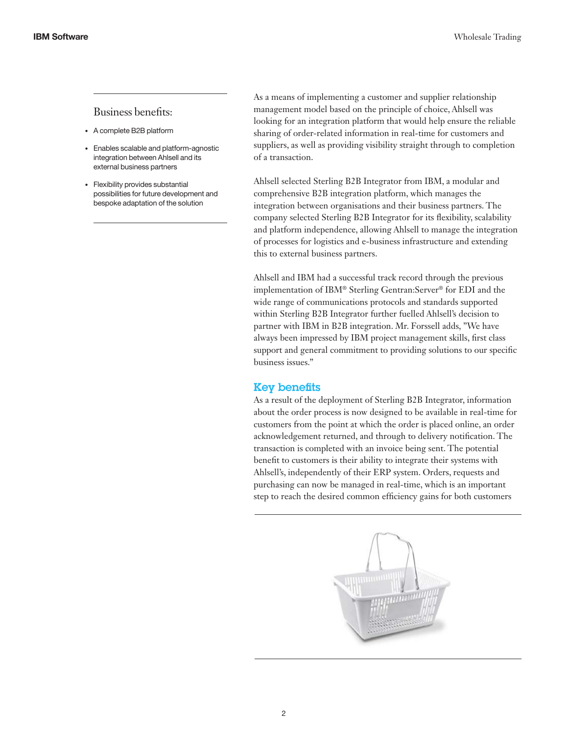#### Business benefits:

- • A complete B2B platform
- • Enables scalable and platform-agnostic integration between Ahlsell and its external business partners
- • Flexibility provides substantial possibilities for future development and bespoke adaptation of the solution

As a means of implementing a customer and supplier relationship management model based on the principle of choice, Ahlsell was looking for an integration platform that would help ensure the reliable sharing of order-related information in real-time for customers and suppliers, as well as providing visibility straight through to completion of a transaction.

Ahlsell selected Sterling B2B Integrator from IBM, a modular and comprehensive B2B integration platform, which manages the integration between organisations and their business partners. The company selected Sterling B2B Integrator for its flexibility, scalability and platform independence, allowing Ahlsell to manage the integration of processes for logistics and e-business infrastructure and extending this to external business partners.

Ahlsell and IBM had a successful track record through the previous implementation of IBM® Sterling Gentran:Server® for EDI and the wide range of communications protocols and standards supported within Sterling B2B Integrator further fuelled Ahlsell's decision to partner with IBM in B2B integration. Mr. Forssell adds, "We have always been impressed by IBM project management skills, first class support and general commitment to providing solutions to our specific business issues."

## Key benefits

As a result of the deployment of Sterling B2B Integrator, information about the order process is now designed to be available in real-time for customers from the point at which the order is placed online, an order acknowledgement returned, and through to delivery notification. The transaction is completed with an invoice being sent. The potential benefit to customers is their ability to integrate their systems with Ahlsell's, independently of their ERP system. Orders, requests and purchasing can now be managed in real-time, which is an important step to reach the desired common efficiency gains for both customers

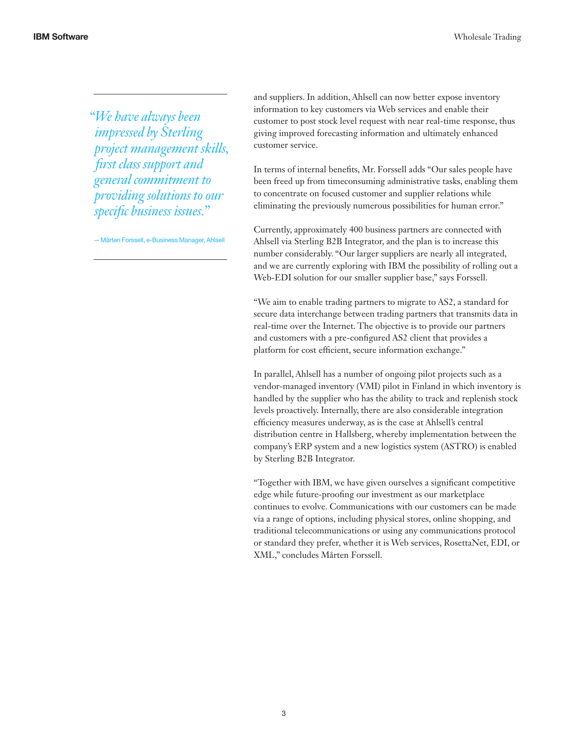*"We have always been impressed by Sterling project management skills, first class support and general commitment to providing solutions to our specific business issues."*

—Mårten Forssell, e-Business Manager, Ahlsell

and suppliers. In addition, Ahlsell can now better expose inventory information to key customers via Web services and enable their customer to post stock level request with near real-time response, thus giving improved forecasting information and ultimately enhanced customer service.

In terms of internal benefits, Mr. Forssell adds "Our sales people have been freed up from timeconsuming administrative tasks, enabling them to concentrate on focused customer and supplier relations while eliminating the previously numerous possibilities for human error."

Currently, approximately 400 business partners are connected with Ahlsell via Sterling B2B Integrator, and the plan is to increase this number considerably. "Our larger suppliers are nearly all integrated, and we are currently exploring with IBM the possibility of rolling out a Web-EDI solution for our smaller supplier base," says Forssell.

"We aim to enable trading partners to migrate to AS2, a standard for secure data interchange between trading partners that transmits data in real-time over the Internet. The objective is to provide our partners and customers with a pre-configured AS2 client that provides a platform for cost efficient, secure information exchange."

In parallel, Ahlsell has a number of ongoing pilot projects such as a vendor-managed inventory (VMI) pilot in Finland in which inventory is handled by the supplier who has the ability to track and replenish stock levels proactively. Internally, there are also considerable integration efficiency measures underway, as is the case at Ahlsell's central distribution centre in Hallsberg, whereby implementation between the company's ERP system and a new logistics system (ASTRO) is enabled by Sterling B2B Integrator.

"Together with IBM, we have given ourselves a significant competitive edge while future-proofing our investment as our marketplace continues to evolve. Communications with our customers can be made via a range of options, including physical stores, online shopping, and traditional telecommunications or using any communications protocol or standard they prefer, whether it is Web services, RosettaNet, EDI, or XML," concludes Mårten Forssell.